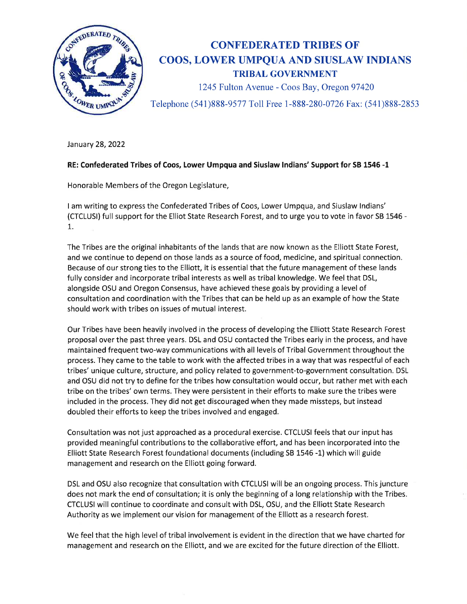

## CONFEDERATED TRTBES OF COOS, LOWER UMPQUA AND SIUSLAW INDIANS TRIBAL GOVERNMENT

1245 Fulton Avenue - Coos Bay, Oregon97420

Telephone (541)888-9577 Toll Free 1-888-280-0726 Fax: (541)888-2853

January 28,2022

## RE: Confederated Tribes of Coos, Lower Umpqua and Siuslaw lndians' Support for SB L546 -t

Honorable Members of the Oregon Legislature,

I am writing to express the Confederated Tribes of Coos, Lower Umpqua, and Siuslaw lndians' (CTCLUSI) full support for the Elliot State Research Forest, and to urge you to vote in favor SB 1546 - 1.

The Tribes are the original inhabitants of the lands that are now known as the Elliott State Forest, and we continue to depend on those lands as a source of food, medicine, and spiritual connection. Because of our strong ties to the Elliott, it is essential that the future management of these lands fully consider and incorporate tribal interests as well as tribal knowledge. We feel that DSL, alongside OSU and Oregon Consensus, have achieved these goals by providing a level of consultation and coordination with the Tribes that can be held up as an example of how the State should work with tribes on issues of mutual interest.

Our Tribes have been heavily involved in the process of developing the Elliott State Research Forest proposal over the past three years, DSL and OSU contacted the Tribes early in the process, and have maintained frequent two-way communications with all levels of Tribal Government throughout the process. They came to the table to work with the affected tribes in a way that was respectful of each tribes' unique culture, structure, and policy related to government-to-government consultation. DSL and OSU did not try to define for the tribes how consultation would occur, but rather met with each tribe on the tribes' own terms. They were persistent in their efforts to make sure the tribes were included in the process. They did not get discouraged when they made missteps, but instead doubled their efforts to keep the tribes involved and engaged,

Consultation was not just approached as a procedural exercise. CTCLUSI feels that our input has provided meaningful contributions to the collaborative effort, and has been incorporated into the Elliott State Research Forest foundational documents (including SB 1546-1) which will guide management and research on the Elliott going forward.

DSL and OSU also recognize that consultation with CTCLUSI will be an ongoing process. This juncture does not mark the end of consultation; it is only the beginning of a long relationship with the Tribes. CTCLUSI will continue to coordinate and consult with DSL, OSU, and the Elliott State Research Authority as we implement our vision for management of the Elliott as a research forest.

We feel that the high level of tribal involvement is evident in the direction that we have charted for management and research on the Elliott, and we are excited for the future direction of the Elliott.